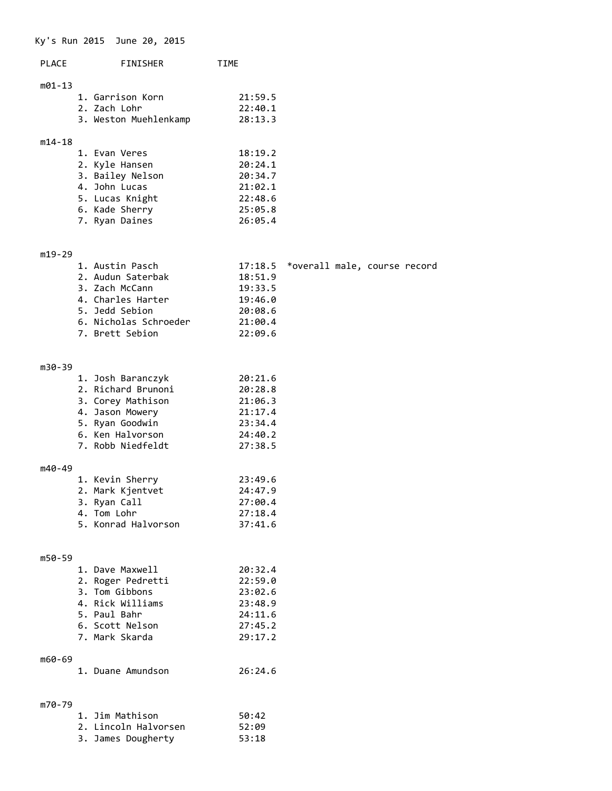## Ky's Run 2015 June 20, 2015

| <b>PLACE</b><br><b>FINISHER</b> |                                  | <b>TIME</b>        |  |
|---------------------------------|----------------------------------|--------------------|--|
| m01-13                          | 1. Garrison Korn<br>2. Zach Lohr | 21:59.5<br>22:40.1 |  |
|                                 | 3. Weston Muehlenkamp            | 28:13.3            |  |
| $m14 - 18$                      | 1. Evan Veres                    | 18:19.2            |  |
|                                 |                                  |                    |  |
|                                 | 2. Kyle Hansen                   | 20:24.1            |  |
|                                 | 3. Bailey Nelson                 | 20:34.7            |  |
|                                 | 4. John Lucas                    | 21:02.1            |  |
|                                 | 5. Lucas Knight                  | 22:48.6            |  |

6. Kade Sherry 25:05.8 7. Ryan Daines 26:05.4

#### m19-29

| 1. Austin Pasch       |         | 17:18.5 *overall male, course record |  |  |
|-----------------------|---------|--------------------------------------|--|--|
| 2. Audun Saterbak     | 18:51.9 |                                      |  |  |
| 3. Zach McCann        | 19:33.5 |                                      |  |  |
| 4. Charles Harter     | 19:46.0 |                                      |  |  |
| 5. Jedd Sebion        | 20:08.6 |                                      |  |  |
| 6. Nicholas Schroeder | 21:00.4 |                                      |  |  |
| 7. Brett Sebion       | 22:09.6 |                                      |  |  |
|                       |         |                                      |  |  |

#### m30-39

| 1. Josh Baranczyk  | 20:21.6 |
|--------------------|---------|
| 2. Richard Brunoni | 20:28.8 |
| 3. Corey Mathison  | 21:06.3 |
| 4. Jason Mowery    | 21:17.4 |
| 5. Ryan Goodwin    | 23:34.4 |
| 6. Ken Halvorson   | 24:40.2 |
| 7. Robb Niedfeldt  | 27:38.5 |
|                    |         |
|                    |         |

# m40-49

| 1. Kevin Sherry     | 23:49.6 |
|---------------------|---------|
| 2. Mark Kjentvet    | 24:47.9 |
| 3. Ryan Call        | 27:00.4 |
| 4. Tom Lohr         | 27:18.4 |
| 5. Konrad Halvorson | 37:41.6 |

#### m50-59

| 1. Dave Maxwell   | 20:32.4 |
|-------------------|---------|
| 2. Roger Pedretti | 22:59.0 |
| 3. Tom Gibbons    | 23:02.6 |
| 4. Rick Williams  | 23:48.9 |
| 5. Paul Bahr      | 24:11.6 |
| 6. Scott Nelson   | 27:45.2 |
| 7. Mark Skarda    | 29:17.2 |
|                   |         |

## m60-69

|  | 1. Duane Amundson | 26:24.6 |
|--|-------------------|---------|
|  |                   |         |

# m70-79

| 1. Jim Mathison      | 50:42 |
|----------------------|-------|
| 2. Lincoln Halvorsen | 52:09 |
| 3. James Dougherty   | 53:18 |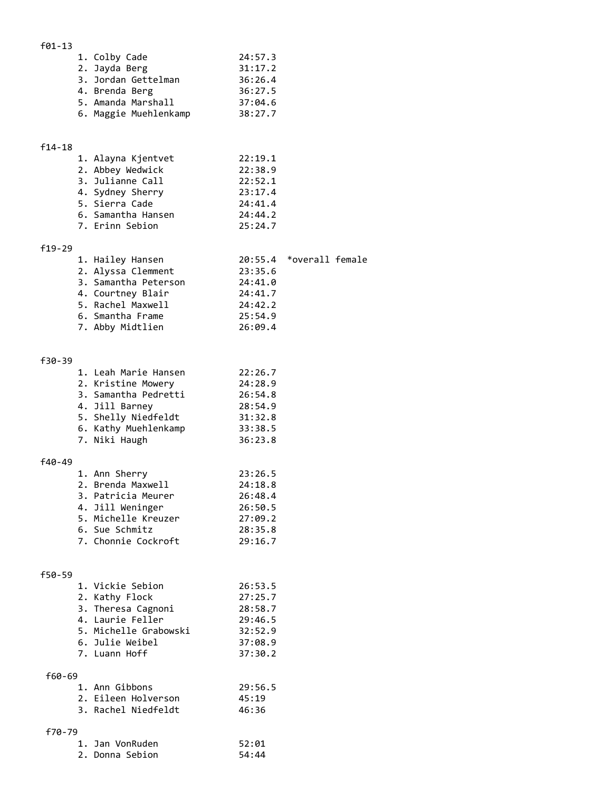## f01-13

| 1. Colby Cade         | 24:57.3 |
|-----------------------|---------|
| 2. Jayda Berg         | 31:17.2 |
| 3. Jordan Gettelman   | 36:26.4 |
| 4. Brenda Berg        | 36:27.5 |
| 5. Amanda Marshall    | 37:04.6 |
| 6. Maggie Muehlenkamp | 38:27.7 |

## f14-18

| 1. Alayna Kjentvet | 22:19.1 |
|--------------------|---------|
| 2. Abbey Wedwick   | 22:38.9 |
| 3. Julianne Call   | 22:52.1 |
| 4. Sydney Sherry   | 23:17.4 |
| 5. Sierra Cade     | 24:41.4 |
| 6. Samantha Hansen | 24:44.2 |
| 7. Erinn Sebion    | 25:24.7 |

### f19-29

| 1. Hailey Hansen     |         | 20:55.4 *overall female |
|----------------------|---------|-------------------------|
| 2. Alyssa Clemment   | 23:35.6 |                         |
| 3. Samantha Peterson | 24:41.0 |                         |
| 4. Courtney Blair    | 24:41.7 |                         |
| 5. Rachel Maxwell    | 24:42.2 |                         |
| 6. Smantha Frame     | 25:54.9 |                         |
| 7. Abby Midtlien     | 26:09.4 |                         |

### f30-39

|        | 1. Leah Marie Hansen | 22:26.7 |
|--------|----------------------|---------|
|        | 2. Kristine Mowery   | 24:28.9 |
|        | 3. Samantha Pedretti | 26:54.8 |
|        | 4. Jill Barney       | 28:54.9 |
|        | 5. Shelly Niedfeldt  | 31:32.8 |
|        | 6. Kathy Muehlenkamp | 33:38.5 |
|        | 7. Niki Haugh        | 36:23.8 |
|        |                      |         |
| f40-49 |                      |         |
|        |                      |         |

| 1. Ann Sherry       | 23:26.5 |
|---------------------|---------|
| 2. Brenda Maxwell   | 24:18.8 |
| 3. Patricia Meurer  | 26:48.4 |
| 4. Jill Weninger    | 26:50.5 |
| 5. Michelle Kreuzer | 27:09.2 |
| 6. Sue Schmitz      | 28:35.8 |
| 7. Chonnie Cockroft | 29:16.7 |

#### f50-59

|        | 1. Vickie Sebion      | 26:53.5 |  |
|--------|-----------------------|---------|--|
|        | 2. Kathy Flock        | 27:25.7 |  |
|        | 3. Theresa Cagnoni    | 28:58.7 |  |
|        | 4. Laurie Feller      | 29:46.5 |  |
|        | 5. Michelle Grabowski | 32:52.9 |  |
|        | 6. Julie Weibel       | 37:08.9 |  |
|        | 7. Luann Hoff         | 37:30.2 |  |
| f60-69 |                       |         |  |
|        | 1. Ann Gibbons        | 29:56.5 |  |
|        | 2. Eileen Holverson   | 45:19   |  |
|        | 3. Rachel Niedfeldt   | 46:36   |  |
| f70-79 |                       |         |  |
|        | 1. Jan VonRuden       | 52:01   |  |
|        | 2. Donna Sebion       | 54:44   |  |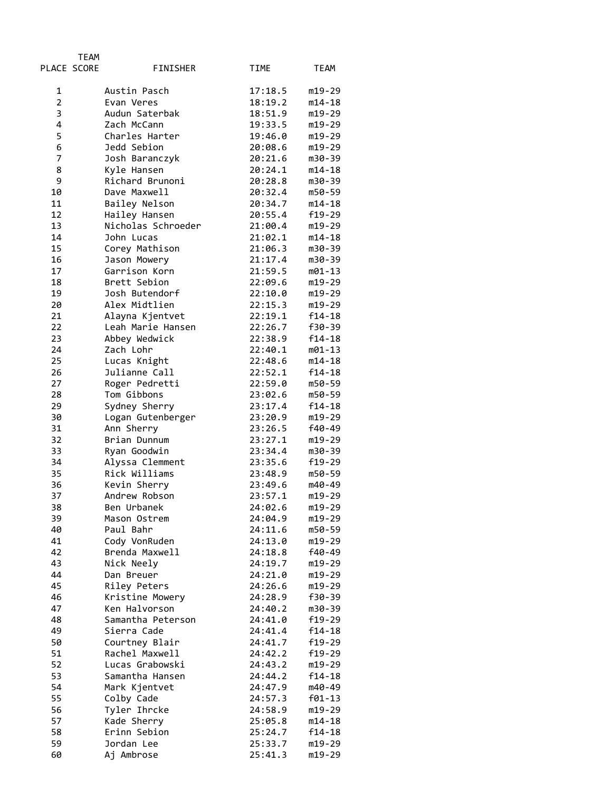|                | <b>TEAM</b> |                               |                    |                  |
|----------------|-------------|-------------------------------|--------------------|------------------|
|                | PLACE SCORE | FINISHER                      | TIME               | TEAM             |
| 1              |             | Austin Pasch                  | 17:18.5            | m19-29           |
| $\overline{2}$ |             | Evan Veres                    | 18:19.2            | $m14 - 18$       |
| 3              |             | Audun Saterbak                | 18:51.9            | m19-29           |
| 4              |             | Zach McCann                   | 19:33.5            | m19-29           |
| 5              |             | Charles Harter                | 19:46.0            | m19-29           |
| 6              |             | Jedd Sebion                   | 20:08.6            | m19-29           |
| 7              |             | Josh Baranczyk                | 20:21.6            | m30-39           |
| 8              |             | Kyle Hansen                   | 20:24.1            | $m14 - 18$       |
| 9              |             | Richard Brunoni               | 20:28.8            | m30-39           |
| 10             |             | Dave Maxwell                  | 20:32.4            | m50-59           |
| 11             |             | Bailey Nelson                 | 20:34.7            | $m14 - 18$       |
| 12             |             | Hailey Hansen                 | 20:55.4            | f19-29           |
| 13             |             | Nicholas Schroeder            | 21:00.4            | m19-29           |
| 14             |             | John Lucas                    | 21:02.1            | m14-18           |
| 15             |             | Corey Mathison                | 21:06.3            | m30-39           |
| 16<br>17       |             | Jason Mowery                  | 21:17.4            | m30-39           |
| 18             |             | Garrison Korn<br>Brett Sebion | 21:59.5<br>22:09.6 | m01-13<br>m19-29 |
| 19             |             | Josh Butendorf                | 22:10.0            | m19-29           |
| 20             |             | Alex Midtlien                 | 22:15.3            | m19-29           |
| 21             |             | Alayna Kjentvet               | 22:19.1            | $f14-18$         |
| 22             |             | Leah Marie Hansen             | 22:26.7            | f30-39           |
| 23             |             | Abbey Wedwick                 | 22:38.9            | $f14-18$         |
| 24             |             | Zach Lohr                     | 22:40.1            | m01-13           |
| 25             |             | Lucas Knight                  | 22:48.6            | $m14 - 18$       |
| 26             |             | Julianne Call                 | 22:52.1            | $f14-18$         |
| 27             |             | Roger Pedretti                | 22:59.0            | m50-59           |
| 28             |             | Tom Gibbons                   | 23:02.6            | m50-59           |
| 29             |             | Sydney Sherry                 | 23:17.4            | f14-18           |
| 30             |             | Logan Gutenberger             | 23:20.9            | m19-29           |
| 31             |             | Ann Sherry                    | 23:26.5            | f40-49           |
| 32             |             | Brian Dunnum                  | 23:27.1            | m19-29           |
| 33             |             | Ryan Goodwin                  | 23:34.4            | m30-39           |
| 34             |             | Alyssa Clemment               | 23:35.6            | f19-29           |
| 35             |             | Rick Williams                 | 23:48.9            | m50-59           |
| 36             |             | Kevin Sherry                  | 23:49.6            | m40-49           |
| 37             |             | Andrew Robson                 | 23:57.1            | m19-29           |
| 38             |             | Ben Urbanek                   | 24:02.6            | m19-29           |
| 39             |             | Mason Ostrem                  | 24:04.9            | m19-29           |
| 40             |             | Paul Bahr                     | 24:11.6            | m50-59           |
| 41             |             | Cody VonRuden                 | 24:13.0            | m19-29           |
| 42             |             | Brenda Maxwell                | 24:18.8            | f40-49           |
| 43<br>44       |             | Nick Neely                    | 24:19.7<br>24:21.0 | m19-29<br>m19-29 |
| 45             |             | Dan Breuer<br>Riley Peters    | 24:26.6            | m19-29           |
| 46             |             | Kristine Mowery               | 24:28.9            | f30-39           |
| 47             |             | Ken Halvorson                 | 24:40.2            | m30-39           |
| 48             |             | Samantha Peterson             | 24:41.0            | f19-29           |
| 49             |             | Sierra Cade                   | 24:41.4            | f14-18           |
| 50             |             | Courtney Blair                | 24:41.7            | f19-29           |
| 51             |             | Rachel Maxwell                | 24:42.2            | f19-29           |
| 52             |             | Lucas Grabowski               | 24:43.2            | m19-29           |
| 53             |             | Samantha Hansen               | 24:44.2            | f14-18           |
| 54             |             | Mark Kjentvet                 | 24:47.9            | m40-49           |
| 55             |             | Colby Cade                    | 24:57.3            | $f01-13$         |
| 56             |             | Tyler Ihrcke                  | 24:58.9            | m19-29           |
| 57             |             | Kade Sherry                   | 25:05.8            | m14-18           |
| 58             |             | Erinn Sebion                  | 25:24.7            | f14-18           |
| 59             |             | Jordan Lee                    | 25:33.7            | m19-29           |
| 60             |             | Aj Ambrose                    | 25:41.3            | m19-29           |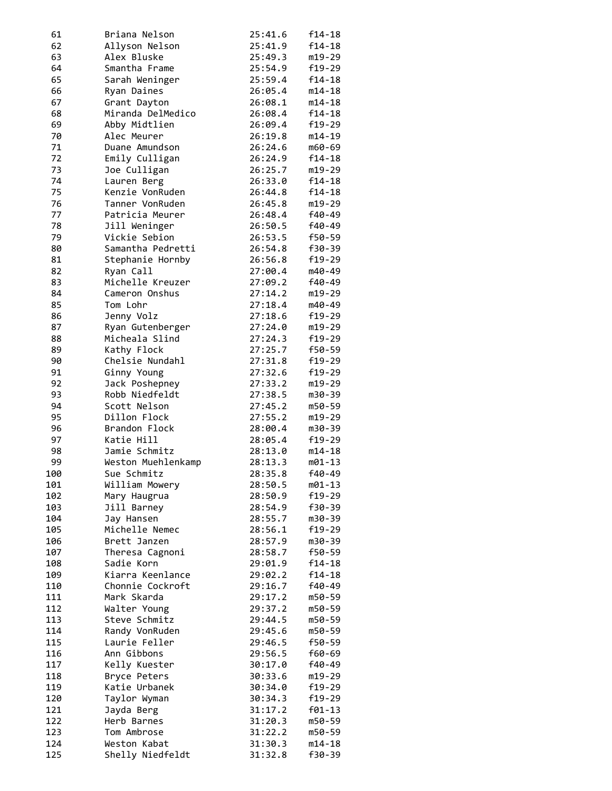| 61  | Briana Nelson      | 25:41.6 | $f14-18$ |
|-----|--------------------|---------|----------|
| 62  | Allyson Nelson     | 25:41.9 | $f14-18$ |
| 63  | Alex Bluske        | 25:49.3 | m19-29   |
|     |                    |         |          |
| 64  | Smantha Frame      | 25:54.9 | f19-29   |
| 65  | Sarah Weninger     | 25:59.4 | $f14-18$ |
| 66  | Ryan Daines        | 26:05.4 | m14-18   |
| 67  | Grant Dayton       | 26:08.1 | m14-18   |
| 68  | Miranda DelMedico  | 26:08.4 | $f14-18$ |
| 69  | Abby Midtlien      | 26:09.4 | $f19-29$ |
|     |                    |         |          |
| 70  | Alec Meurer        | 26:19.8 | m14-19   |
| 71  | Duane Amundson     | 26:24.6 | m60-69   |
| 72  | Emily Culligan     | 26:24.9 | $f14-18$ |
| 73  | Joe Culligan       | 26:25.7 | m19-29   |
| 74  | Lauren Berg        | 26:33.0 | f14-18   |
| 75  | Kenzie VonRuden    | 26:44.8 | $f14-18$ |
|     |                    |         |          |
| 76  | Tanner VonRuden    | 26:45.8 | m19-29   |
| 77  | Patricia Meurer    | 26:48.4 | f40-49   |
| 78  | Jill Weninger      | 26:50.5 | f40-49   |
| 79  | Vickie Sebion      | 26:53.5 | f50-59   |
| 80  | Samantha Pedretti  | 26:54.8 | f30-39   |
| 81  | Stephanie Hornby   | 26:56.8 | f19-29   |
| 82  | Ryan Call          |         |          |
|     |                    | 27:00.4 | m40-49   |
| 83  | Michelle Kreuzer   | 27:09.2 | f40-49   |
| 84  | Cameron Onshus     | 27:14.2 | m19-29   |
| 85  | Tom Lohr           | 27:18.4 | m40-49   |
| 86  | Jenny Volz         | 27:18.6 | f19-29   |
| 87  | Ryan Gutenberger   | 27:24.0 | m19-29   |
| 88  | Micheala Slind     | 27:24.3 | f19-29   |
|     |                    |         |          |
| 89  | Kathy Flock        | 27:25.7 | f50-59   |
| 90  | Chelsie Nundahl    | 27:31.8 | f19-29   |
| 91  | Ginny Young        | 27:32.6 | f19-29   |
| 92  | Jack Poshepney     | 27:33.2 | m19-29   |
| 93  | Robb Niedfeldt     | 27:38.5 | m30-39   |
| 94  | Scott Nelson       | 27:45.2 | m50-59   |
| 95  | Dillon Flock       | 27:55.2 |          |
|     |                    |         | m19-29   |
| 96  | Brandon Flock      | 28:00.4 | m30-39   |
| 97  | Katie Hill         | 28:05.4 | f19-29   |
| 98  | Jamie Schmitz      | 28:13.0 | m14-18   |
| 99  | Weston Muehlenkamp | 28:13.3 | m01-13   |
| 100 | Sue Schmitz        | 28:35.8 | f40-49   |
| 101 | William Mowery     | 28:50.5 | m01-13   |
|     |                    | 28:50.9 | $f19-29$ |
| 102 | Mary Haugrua       |         |          |
| 103 | Jill Barney        | 28:54.9 | f30-39   |
| 104 | Jay Hansen         | 28:55.7 | m30-39   |
| 105 | Michelle Nemec     | 28:56.1 | f19-29   |
| 106 | Brett Janzen       | 28:57.9 | m30-39   |
| 107 | Theresa Cagnoni    | 28:58.7 | f50-59   |
| 108 | Sadie Korn         | 29:01.9 | $f14-18$ |
|     |                    |         |          |
| 109 | Kiarra Keenlance   | 29:02.2 | $f14-18$ |
| 110 | Chonnie Cockroft   | 29:16.7 | f40-49   |
| 111 | Mark Skarda        | 29:17.2 | m50-59   |
| 112 | Walter Young       | 29:37.2 | m50-59   |
| 113 | Steve Schmitz      | 29:44.5 | m50-59   |
| 114 | Randy VonRuden     | 29:45.6 | m50-59   |
| 115 | Laurie Feller      | 29:46.5 | f50-59   |
|     |                    |         |          |
| 116 | Ann Gibbons        | 29:56.5 | f60-69   |
| 117 | Kelly Kuester      | 30:17.0 | f40-49   |
| 118 | Bryce Peters       | 30:33.6 | m19-29   |
| 119 | Katie Urbanek      | 30:34.0 | f19-29   |
| 120 | Taylor Wyman       | 30:34.3 | f19-29   |
| 121 | Jayda Berg         | 31:17.2 | f01-13   |
| 122 | Herb Barnes        | 31:20.3 | m50-59   |
|     |                    |         |          |
| 123 | Tom Ambrose        | 31:22.2 | m50-59   |
| 124 | Weston Kabat       | 31:30.3 | m14-18   |
| 125 | Shelly Niedfeldt   | 31:32.8 | f30-39   |